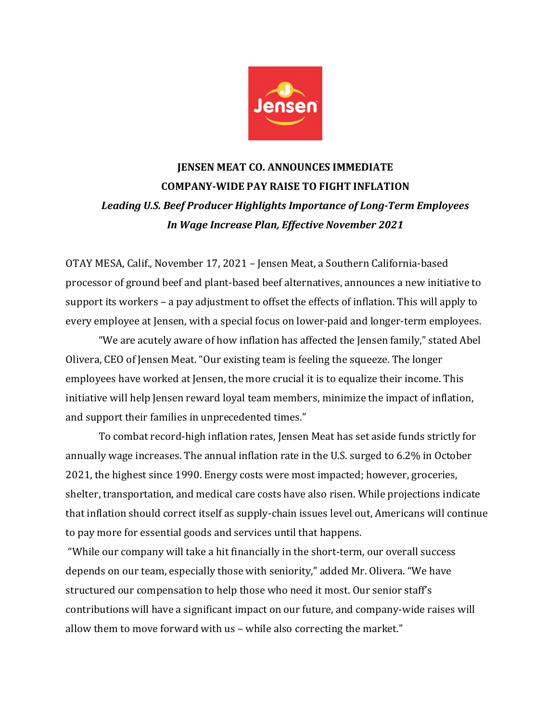

## **IENSEN MEAT CO. ANNOUNCES IMMEDIATE COMPANY-WIDE PAY RAISE TO FIGHT INFLATION** Leading U.S. Beef Producer Highlights Importance of Long-Term Employees *In Wage Increase Plan, Effective November 2021*

OTAY MESA, Calif., November 17, 2021 - Jensen Meat, a Southern California-based processor of ground beef and plant-based beef alternatives, announces a new initiative to support its workers  $-$  a pay adjustment to offset the effects of inflation. This will apply to every employee at Jensen, with a special focus on lower-paid and longer-term employees.

"We are acutely aware of how inflation has affected the Jensen family," stated Abel Olivera, CEO of Jensen Meat. "Our existing team is feeling the squeeze. The longer employees have worked at Jensen, the more crucial it is to equalize their income. This initiative will help Jensen reward loyal team members, minimize the impact of inflation, and support their families in unprecedented times."

To combat record-high inflation rates, Jensen Meat has set aside funds strictly for annually wage increases. The annual inflation rate in the U.S. surged to 6.2% in October 2021, the highest since 1990. Energy costs were most impacted; however, groceries, shelter, transportation, and medical care costs have also risen. While projections indicate that inflation should correct itself as supply-chain issues level out, Americans will continue to pay more for essential goods and services until that happens.

"While our company will take a hit financially in the short-term, our overall success depends on our team, especially those with seniority," added Mr. Olivera. "We have structured our compensation to help those who need it most. Our senior staff's contributions will have a significant impact on our future, and company-wide raises will allow them to move forward with us - while also correcting the market."